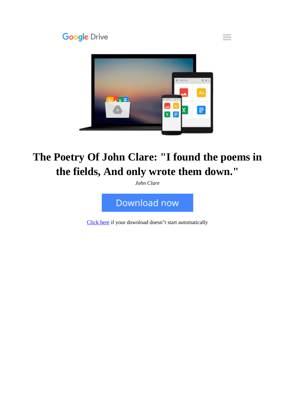

# **The Poetry Of John Clare: "I found the poems in the fields, And only wrote them down."**

*John Clare*



[Click here](http://ijos.club/go/read.php?id=B00FZVR40S) if your download doesn"t start automatically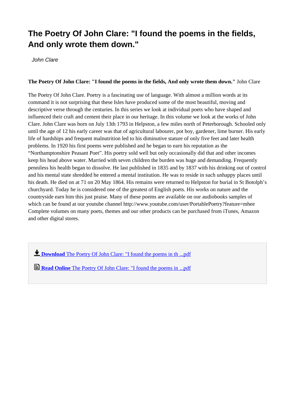### **The Poetry Of John Clare: "I found the poems in the fields, And only wrote them down."**

John Clare

#### **The Poetry Of John Clare: "I found the poems in the fields, And only wrote them down."** John Clare

The Poetry Of John Clare. Poetry is a fascinating use of language. With almost a million words at its command it is not surprising that these Isles have produced some of the most beautiful, moving and descriptive verse through the centuries. In this series we look at individual poets who have shaped and influenced their craft and cement their place in our heritage. In this volume we look at the works of John Clare. John Clare was born on July 13th 1793 in Helpston, a few miles north of Peterborough. Schooled only until the age of 12 his early career was that of agricultural labourer, pot boy, gardener, lime burner. His early life of hardships and frequent malnutrition led to his diminutive stature of only five feet and later health problems. In 1920 his first poems were published and he began to earn his reputation as the "Northamptonshire Peasant Poet". His poetry sold well but only occasionally did that and other incomes keep his head above water. Married with seven children the burden was huge and demanding. Frequently penniless his health began to dissolve. He last published in 1835 and by 1837 with his drinking out of control and his mental state shredded he entered a mental institution. He was to reside in such unhappy places until his death. He died on at 71 on 20 May 1864. His remains were returned to Helpston for burial in St Botolph's churchyard. Today he is considered one of the greatest of English poets. His works on nature and the countryside earn him this just praise. Many of these poems are available on our audiobooks samples of which can be found at our youtube channel http://www.youtube.com/user/PortablePoetry?feature=mhee Complete volumes on many poets, themes and our other products can be purchased from iTunes, Amazon and other digital stores.

**L** [Download](http://ijos.club/go/read.php?id=B00FZVR40S) [The Poetry Of John Clare: "I found the poems in th ...pdf](http://ijos.club/go/read.php?id=B00FZVR40S)

**[Read Online](http://ijos.club/go/read.php?id=B00FZVR40S)** [The Poetry Of John Clare: "I found the poems in ...pdf](http://ijos.club/go/read.php?id=B00FZVR40S)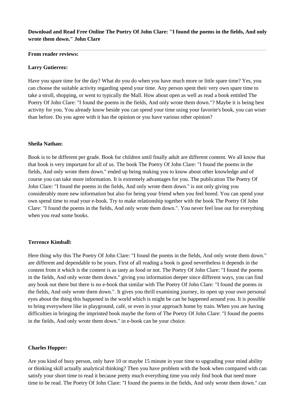#### **Download and Read Free Online The Poetry Of John Clare: "I found the poems in the fields, And only wrote them down." John Clare**

#### **From reader reviews:**

#### **Larry Gutierrez:**

Have you spare time for the day? What do you do when you have much more or little spare time? Yes, you can choose the suitable activity regarding spend your time. Any person spent their very own spare time to take a stroll, shopping, or went to typically the Mall. How about open as well as read a book entitled The Poetry Of John Clare: "I found the poems in the fields, And only wrote them down."? Maybe it is being best activity for you. You already know beside you can spend your time using your favorite's book, you can wiser than before. Do you agree with it has the opinion or you have various other opinion?

#### **Sheila Nathan:**

Book is to be different per grade. Book for children until finally adult are different content. We all know that that book is very important for all of us. The book The Poetry Of John Clare: "I found the poems in the fields, And only wrote them down." ended up being making you to know about other knowledge and of course you can take more information. It is extremely advantages for you. The publication The Poetry Of John Clare: "I found the poems in the fields, And only wrote them down." is not only giving you considerably more new information but also for being your friend when you feel bored. You can spend your own spend time to read your e-book. Try to make relationship together with the book The Poetry Of John Clare: "I found the poems in the fields, And only wrote them down.". You never feel lose out for everything when you read some books.

#### **Terrence Kimball:**

Here thing why this The Poetry Of John Clare: "I found the poems in the fields, And only wrote them down." are different and dependable to be yours. First of all reading a book is good nevertheless it depends in the content from it which is the content is as tasty as food or not. The Poetry Of John Clare: "I found the poems in the fields, And only wrote them down." giving you information deeper since different ways, you can find any book out there but there is no e-book that similar with The Poetry Of John Clare: "I found the poems in the fields, And only wrote them down.". It gives you thrill examining journey, its open up your own personal eyes about the thing this happened in the world which is might be can be happened around you. It is possible to bring everywhere like in playground, café, or even in your approach home by train. When you are having difficulties in bringing the imprinted book maybe the form of The Poetry Of John Clare: "I found the poems in the fields, And only wrote them down." in e-book can be your choice.

#### **Charles Hopper:**

Are you kind of busy person, only have 10 or maybe 15 minute in your time to upgrading your mind ability or thinking skill actually analytical thinking? Then you have problem with the book when compared with can satisfy your short time to read it because pretty much everything time you only find book that need more time to be read. The Poetry Of John Clare: "I found the poems in the fields, And only wrote them down." can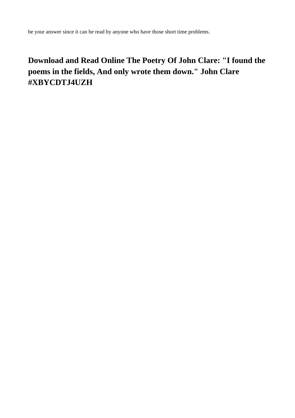be your answer since it can be read by anyone who have those short time problems.

## **Download and Read Online The Poetry Of John Clare: "I found the poems in the fields, And only wrote them down." John Clare #XBYCDTJ4UZH**